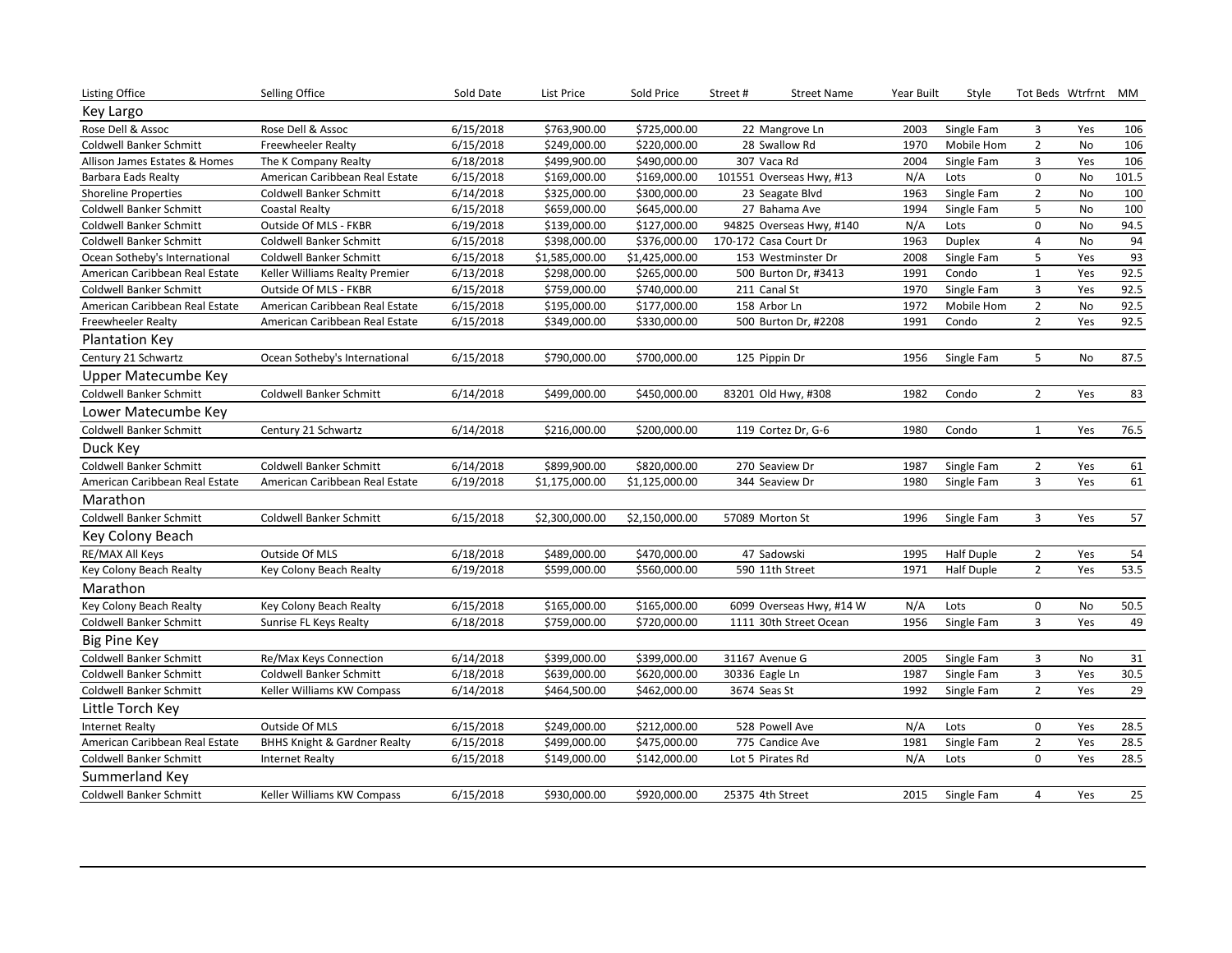| Key Largo<br>Rose Dell & Assoc<br>Rose Dell & Assoc<br>6/15/2018<br>\$763,900.00<br>\$725,000.00<br>2003<br>3<br>22 Mangrove Ln<br>Single Fam<br>Yes<br>106<br>6/15/2018<br>\$249,000.00<br>\$220,000.00<br>1970<br>$\overline{2}$<br>106<br><b>Coldwell Banker Schmitt</b><br><b>Freewheeler Realty</b><br>28 Swallow Rd<br>Mobile Hom<br>No<br>3<br>6/18/2018<br>307 Vaca Rd<br>Yes<br>106<br>Allison James Estates & Homes<br>\$499,900.00<br>\$490,000.00<br>2004<br>Single Fam<br>The K Company Realty<br>$\mathbf 0$<br>101.5<br>6/15/2018<br>\$169,000.00<br>\$169,000.00<br>N/A<br>101551 Overseas Hwy, #13<br>No<br>Barbara Eads Realty<br>American Caribbean Real Estate<br>Lots<br>6/14/2018<br>\$325,000.00<br>\$300,000.00<br>$\overline{2}$<br>100<br><b>Shoreline Properties</b><br>Coldwell Banker Schmitt<br>23 Seagate Blvd<br>1963<br>Single Fam<br>No<br>5<br>6/15/2018<br>\$659,000.00<br>27 Bahama Ave<br>1994<br>Single Fam<br>No<br>100<br>Coldwell Banker Schmitt<br>\$645,000.00<br>Coastal Realty<br>$\mathbf 0$<br>94.5<br>Outside Of MLS - FKBR<br>6/19/2018<br>\$139,000.00<br>\$127,000.00<br>N/A<br>94825 Overseas Hwy, #140<br>Lots<br>No<br>Coldwell Banker Schmitt<br>94<br>6/15/2018<br>\$398,000.00<br>\$376,000.00<br>170-172 Casa Court Dr<br>1963<br>4<br>Coldwell Banker Schmitt<br><b>Coldwell Banker Schmitt</b><br><b>Duplex</b><br>No<br>93<br>5<br>6/15/2018<br>\$1,425,000.00<br>Yes<br>Ocean Sotheby's International<br>Coldwell Banker Schmitt<br>\$1,585,000.00<br>153 Westminster Dr<br>2008<br>Single Fam<br>92.5<br>6/13/2018<br>\$265,000.00<br>$\mathbf{1}$<br>Yes<br>American Caribbean Real Estate<br>Keller Williams Realty Premier<br>\$298,000.00<br>500 Burton Dr, #3413<br>1991<br>Condo<br>6/15/2018<br>\$759,000.00<br>1970<br>Single Fam<br>3<br>92.5<br><b>Coldwell Banker Schmitt</b><br>Outside Of MLS - FKBR<br>\$740,000.00<br>211 Canal St<br>Yes<br>92.5<br>$\overline{2}$<br>6/15/2018<br>\$195,000.00<br>\$177,000.00<br>158 Arbor Ln<br>1972<br>No<br>American Caribbean Real Estate<br>American Caribbean Real Estate<br>Mobile Hom<br>$\overline{2}$<br>92.5<br>6/15/2018<br>\$349,000.00<br>\$330,000.00<br>500 Burton Dr, #2208<br>Condo<br>Yes<br>Freewheeler Realty<br>1991<br>American Caribbean Real Estate<br>Plantation Key<br>5<br>87.5<br>Century 21 Schwartz<br>Ocean Sotheby's International<br>6/15/2018<br>\$790,000.00<br>\$700,000.00<br>1956<br>Single Fam<br>No<br>125 Pippin Dr<br>Upper Matecumbe Key<br>$\overline{2}$<br>83<br><b>Coldwell Banker Schmitt</b><br>Coldwell Banker Schmitt<br>6/14/2018<br>\$499,000.00<br>\$450,000.00<br>83201 Old Hwy, #308<br>Condo<br>1982<br>Yes<br>Lower Matecumbe Key<br>Century 21 Schwartz<br>76.5<br><b>Coldwell Banker Schmitt</b><br>6/14/2018<br>\$216,000.00<br>\$200,000.00<br>119 Cortez Dr, G-6<br>1980<br>Condo<br>$\mathbf{1}$<br>Yes<br>Duck Key<br>6/14/2018<br>$\overline{2}$<br>Coldwell Banker Schmitt<br>Coldwell Banker Schmitt<br>\$899,900.00<br>\$820,000.00<br>270 Seaview Dr<br>1987<br>Single Fam<br>Yes<br>61<br>3<br>61<br>American Caribbean Real Estate<br>6/19/2018<br>\$1,175,000.00<br>\$1,125,000.00<br>344 Seaview Dr<br>1980<br>Yes<br>American Caribbean Real Estate<br>Single Fam<br>Marathon<br>57<br>3<br>Coldwell Banker Schmitt<br>Coldwell Banker Schmitt<br>6/15/2018<br>\$2,300,000.00<br>\$2,150,000.00<br>1996<br>Single Fam<br>Yes<br>57089 Morton St<br>Key Colony Beach<br>54<br>Outside Of MLS<br>6/18/2018<br>\$489,000.00<br>Half Duple<br>$\overline{2}$<br>RE/MAX All Keys<br>\$470,000.00<br>47 Sadowski<br>1995<br>Yes<br>$\overline{2}$<br>6/19/2018<br>\$599,000.00<br>\$560,000.00<br>Yes<br>53.5<br>590 11th Street<br>1971<br>Half Duple<br>Key Colony Beach Realty<br>Key Colony Beach Realty<br>Marathon<br>6/15/2018<br>\$165,000.00<br>Key Colony Beach Realty<br>\$165,000.00<br>6099 Overseas Hwy, #14 W<br>N/A<br>Lots<br>0<br>No<br>50.5<br>Key Colony Beach Realty<br>3<br>49<br>Coldwell Banker Schmitt<br>6/18/2018<br>\$759,000.00<br>\$720,000.00<br>1111 30th Street Ocean<br>1956<br>Single Fam<br>Yes<br>Sunrise FL Keys Realty<br><b>Big Pine Key</b><br>6/14/2018<br>Coldwell Banker Schmitt<br>Re/Max Keys Connection<br>\$399,000.00<br>\$399,000.00<br>31167 Avenue G<br>Single Fam<br>3<br>31<br>2005<br>No<br>6/18/2018<br>3<br>30.5<br>Coldwell Banker Schmitt<br>\$639,000.00<br>\$620,000.00<br>1987<br>Yes<br>Coldwell Banker Schmitt<br>30336 Eagle Ln<br>Single Fam<br>29<br>1992<br>$\overline{2}$<br>Yes<br>6/14/2018<br>\$464,500.00<br>\$462,000.00<br>3674 Seas St<br>Single Fam<br>Coldwell Banker Schmitt<br>Keller Williams KW Compass<br>Little Torch Key<br>Outside Of MLS<br>6/15/2018<br>\$249,000.00<br>\$212,000.00<br>N/A<br>0<br>28.5<br><b>Internet Realty</b><br>528 Powell Ave<br>Lots<br>Yes<br>6/15/2018<br>\$499,000.00<br>\$475,000.00<br>1981<br>$\overline{2}$<br>Yes<br>28.5<br>American Caribbean Real Estate<br><b>BHHS Knight &amp; Gardner Realty</b><br>775 Candice Ave<br>Single Fam<br>0<br>6/15/2018<br>N/A<br>28.5<br>Coldwell Banker Schmitt<br>\$149,000.00<br>\$142,000.00<br>Lot 5 Pirates Rd<br>Lots<br>Yes<br><b>Internet Realty</b><br>Summerland Key<br>25375 4th Street | <b>Listing Office</b>   | Selling Office             | Sold Date | List Price   | Sold Price   | Street# | <b>Street Name</b> | Year Built | Style      |   | Tot Beds Wtrfrnt MM |    |
|--------------------------------------------------------------------------------------------------------------------------------------------------------------------------------------------------------------------------------------------------------------------------------------------------------------------------------------------------------------------------------------------------------------------------------------------------------------------------------------------------------------------------------------------------------------------------------------------------------------------------------------------------------------------------------------------------------------------------------------------------------------------------------------------------------------------------------------------------------------------------------------------------------------------------------------------------------------------------------------------------------------------------------------------------------------------------------------------------------------------------------------------------------------------------------------------------------------------------------------------------------------------------------------------------------------------------------------------------------------------------------------------------------------------------------------------------------------------------------------------------------------------------------------------------------------------------------------------------------------------------------------------------------------------------------------------------------------------------------------------------------------------------------------------------------------------------------------------------------------------------------------------------------------------------------------------------------------------------------------------------------------------------------------------------------------------------------------------------------------------------------------------------------------------------------------------------------------------------------------------------------------------------------------------------------------------------------------------------------------------------------------------------------------------------------------------------------------------------------------------------------------------------------------------------------------------------------------------------------------------------------------------------------------------------------------------------------------------------------------------------------------------------------------------------------------------------------------------------------------------------------------------------------------------------------------------------------------------------------------------------------------------------------------------------------------------------------------------------------------------------------------------------------------------------------------------------------------------------------------------------------------------------------------------------------------------------------------------------------------------------------------------------------------------------------------------------------------------------------------------------------------------------------------------------------------------------------------------------------------------------------------------------------------------------------------------------------------------------------------------------------------------------------------------------------------------------------------------------------------------------------------------------------------------------------------------------------------------------------------------------------------------------------------------------------------------------------------------------------------------------------------------------------------------------------------------------------------------------------------------------------------------------------------------------------------------------------------------------------------------------------------------------------------------------------------------------------------------------------------------------------------------------------------------------------------------------------------------------------------------------------------------------------------------------------------------------------------------------------------------------------------------------------------------------------------------------------------------------------------------------------------------------------------------------------------------------------------------------------------------------------------------------------------------------------------------------------------------------------------------------------------------------------------------------------------------------------------------------------------------------------|-------------------------|----------------------------|-----------|--------------|--------------|---------|--------------------|------------|------------|---|---------------------|----|
|                                                                                                                                                                                                                                                                                                                                                                                                                                                                                                                                                                                                                                                                                                                                                                                                                                                                                                                                                                                                                                                                                                                                                                                                                                                                                                                                                                                                                                                                                                                                                                                                                                                                                                                                                                                                                                                                                                                                                                                                                                                                                                                                                                                                                                                                                                                                                                                                                                                                                                                                                                                                                                                                                                                                                                                                                                                                                                                                                                                                                                                                                                                                                                                                                                                                                                                                                                                                                                                                                                                                                                                                                                                                                                                                                                                                                                                                                                                                                                                                                                                                                                                                                                                                                                                                                                                                                                                                                                                                                                                                                                                                                                                                                                                                                                                                                                                                                                                                                                                                                                                                                                                                                                                                                                                        |                         |                            |           |              |              |         |                    |            |            |   |                     |    |
|                                                                                                                                                                                                                                                                                                                                                                                                                                                                                                                                                                                                                                                                                                                                                                                                                                                                                                                                                                                                                                                                                                                                                                                                                                                                                                                                                                                                                                                                                                                                                                                                                                                                                                                                                                                                                                                                                                                                                                                                                                                                                                                                                                                                                                                                                                                                                                                                                                                                                                                                                                                                                                                                                                                                                                                                                                                                                                                                                                                                                                                                                                                                                                                                                                                                                                                                                                                                                                                                                                                                                                                                                                                                                                                                                                                                                                                                                                                                                                                                                                                                                                                                                                                                                                                                                                                                                                                                                                                                                                                                                                                                                                                                                                                                                                                                                                                                                                                                                                                                                                                                                                                                                                                                                                                        |                         |                            |           |              |              |         |                    |            |            |   |                     |    |
|                                                                                                                                                                                                                                                                                                                                                                                                                                                                                                                                                                                                                                                                                                                                                                                                                                                                                                                                                                                                                                                                                                                                                                                                                                                                                                                                                                                                                                                                                                                                                                                                                                                                                                                                                                                                                                                                                                                                                                                                                                                                                                                                                                                                                                                                                                                                                                                                                                                                                                                                                                                                                                                                                                                                                                                                                                                                                                                                                                                                                                                                                                                                                                                                                                                                                                                                                                                                                                                                                                                                                                                                                                                                                                                                                                                                                                                                                                                                                                                                                                                                                                                                                                                                                                                                                                                                                                                                                                                                                                                                                                                                                                                                                                                                                                                                                                                                                                                                                                                                                                                                                                                                                                                                                                                        |                         |                            |           |              |              |         |                    |            |            |   |                     |    |
|                                                                                                                                                                                                                                                                                                                                                                                                                                                                                                                                                                                                                                                                                                                                                                                                                                                                                                                                                                                                                                                                                                                                                                                                                                                                                                                                                                                                                                                                                                                                                                                                                                                                                                                                                                                                                                                                                                                                                                                                                                                                                                                                                                                                                                                                                                                                                                                                                                                                                                                                                                                                                                                                                                                                                                                                                                                                                                                                                                                                                                                                                                                                                                                                                                                                                                                                                                                                                                                                                                                                                                                                                                                                                                                                                                                                                                                                                                                                                                                                                                                                                                                                                                                                                                                                                                                                                                                                                                                                                                                                                                                                                                                                                                                                                                                                                                                                                                                                                                                                                                                                                                                                                                                                                                                        |                         |                            |           |              |              |         |                    |            |            |   |                     |    |
|                                                                                                                                                                                                                                                                                                                                                                                                                                                                                                                                                                                                                                                                                                                                                                                                                                                                                                                                                                                                                                                                                                                                                                                                                                                                                                                                                                                                                                                                                                                                                                                                                                                                                                                                                                                                                                                                                                                                                                                                                                                                                                                                                                                                                                                                                                                                                                                                                                                                                                                                                                                                                                                                                                                                                                                                                                                                                                                                                                                                                                                                                                                                                                                                                                                                                                                                                                                                                                                                                                                                                                                                                                                                                                                                                                                                                                                                                                                                                                                                                                                                                                                                                                                                                                                                                                                                                                                                                                                                                                                                                                                                                                                                                                                                                                                                                                                                                                                                                                                                                                                                                                                                                                                                                                                        |                         |                            |           |              |              |         |                    |            |            |   |                     |    |
|                                                                                                                                                                                                                                                                                                                                                                                                                                                                                                                                                                                                                                                                                                                                                                                                                                                                                                                                                                                                                                                                                                                                                                                                                                                                                                                                                                                                                                                                                                                                                                                                                                                                                                                                                                                                                                                                                                                                                                                                                                                                                                                                                                                                                                                                                                                                                                                                                                                                                                                                                                                                                                                                                                                                                                                                                                                                                                                                                                                                                                                                                                                                                                                                                                                                                                                                                                                                                                                                                                                                                                                                                                                                                                                                                                                                                                                                                                                                                                                                                                                                                                                                                                                                                                                                                                                                                                                                                                                                                                                                                                                                                                                                                                                                                                                                                                                                                                                                                                                                                                                                                                                                                                                                                                                        |                         |                            |           |              |              |         |                    |            |            |   |                     |    |
|                                                                                                                                                                                                                                                                                                                                                                                                                                                                                                                                                                                                                                                                                                                                                                                                                                                                                                                                                                                                                                                                                                                                                                                                                                                                                                                                                                                                                                                                                                                                                                                                                                                                                                                                                                                                                                                                                                                                                                                                                                                                                                                                                                                                                                                                                                                                                                                                                                                                                                                                                                                                                                                                                                                                                                                                                                                                                                                                                                                                                                                                                                                                                                                                                                                                                                                                                                                                                                                                                                                                                                                                                                                                                                                                                                                                                                                                                                                                                                                                                                                                                                                                                                                                                                                                                                                                                                                                                                                                                                                                                                                                                                                                                                                                                                                                                                                                                                                                                                                                                                                                                                                                                                                                                                                        |                         |                            |           |              |              |         |                    |            |            |   |                     |    |
|                                                                                                                                                                                                                                                                                                                                                                                                                                                                                                                                                                                                                                                                                                                                                                                                                                                                                                                                                                                                                                                                                                                                                                                                                                                                                                                                                                                                                                                                                                                                                                                                                                                                                                                                                                                                                                                                                                                                                                                                                                                                                                                                                                                                                                                                                                                                                                                                                                                                                                                                                                                                                                                                                                                                                                                                                                                                                                                                                                                                                                                                                                                                                                                                                                                                                                                                                                                                                                                                                                                                                                                                                                                                                                                                                                                                                                                                                                                                                                                                                                                                                                                                                                                                                                                                                                                                                                                                                                                                                                                                                                                                                                                                                                                                                                                                                                                                                                                                                                                                                                                                                                                                                                                                                                                        |                         |                            |           |              |              |         |                    |            |            |   |                     |    |
|                                                                                                                                                                                                                                                                                                                                                                                                                                                                                                                                                                                                                                                                                                                                                                                                                                                                                                                                                                                                                                                                                                                                                                                                                                                                                                                                                                                                                                                                                                                                                                                                                                                                                                                                                                                                                                                                                                                                                                                                                                                                                                                                                                                                                                                                                                                                                                                                                                                                                                                                                                                                                                                                                                                                                                                                                                                                                                                                                                                                                                                                                                                                                                                                                                                                                                                                                                                                                                                                                                                                                                                                                                                                                                                                                                                                                                                                                                                                                                                                                                                                                                                                                                                                                                                                                                                                                                                                                                                                                                                                                                                                                                                                                                                                                                                                                                                                                                                                                                                                                                                                                                                                                                                                                                                        |                         |                            |           |              |              |         |                    |            |            |   |                     |    |
|                                                                                                                                                                                                                                                                                                                                                                                                                                                                                                                                                                                                                                                                                                                                                                                                                                                                                                                                                                                                                                                                                                                                                                                                                                                                                                                                                                                                                                                                                                                                                                                                                                                                                                                                                                                                                                                                                                                                                                                                                                                                                                                                                                                                                                                                                                                                                                                                                                                                                                                                                                                                                                                                                                                                                                                                                                                                                                                                                                                                                                                                                                                                                                                                                                                                                                                                                                                                                                                                                                                                                                                                                                                                                                                                                                                                                                                                                                                                                                                                                                                                                                                                                                                                                                                                                                                                                                                                                                                                                                                                                                                                                                                                                                                                                                                                                                                                                                                                                                                                                                                                                                                                                                                                                                                        |                         |                            |           |              |              |         |                    |            |            |   |                     |    |
|                                                                                                                                                                                                                                                                                                                                                                                                                                                                                                                                                                                                                                                                                                                                                                                                                                                                                                                                                                                                                                                                                                                                                                                                                                                                                                                                                                                                                                                                                                                                                                                                                                                                                                                                                                                                                                                                                                                                                                                                                                                                                                                                                                                                                                                                                                                                                                                                                                                                                                                                                                                                                                                                                                                                                                                                                                                                                                                                                                                                                                                                                                                                                                                                                                                                                                                                                                                                                                                                                                                                                                                                                                                                                                                                                                                                                                                                                                                                                                                                                                                                                                                                                                                                                                                                                                                                                                                                                                                                                                                                                                                                                                                                                                                                                                                                                                                                                                                                                                                                                                                                                                                                                                                                                                                        |                         |                            |           |              |              |         |                    |            |            |   |                     |    |
|                                                                                                                                                                                                                                                                                                                                                                                                                                                                                                                                                                                                                                                                                                                                                                                                                                                                                                                                                                                                                                                                                                                                                                                                                                                                                                                                                                                                                                                                                                                                                                                                                                                                                                                                                                                                                                                                                                                                                                                                                                                                                                                                                                                                                                                                                                                                                                                                                                                                                                                                                                                                                                                                                                                                                                                                                                                                                                                                                                                                                                                                                                                                                                                                                                                                                                                                                                                                                                                                                                                                                                                                                                                                                                                                                                                                                                                                                                                                                                                                                                                                                                                                                                                                                                                                                                                                                                                                                                                                                                                                                                                                                                                                                                                                                                                                                                                                                                                                                                                                                                                                                                                                                                                                                                                        |                         |                            |           |              |              |         |                    |            |            |   |                     |    |
|                                                                                                                                                                                                                                                                                                                                                                                                                                                                                                                                                                                                                                                                                                                                                                                                                                                                                                                                                                                                                                                                                                                                                                                                                                                                                                                                                                                                                                                                                                                                                                                                                                                                                                                                                                                                                                                                                                                                                                                                                                                                                                                                                                                                                                                                                                                                                                                                                                                                                                                                                                                                                                                                                                                                                                                                                                                                                                                                                                                                                                                                                                                                                                                                                                                                                                                                                                                                                                                                                                                                                                                                                                                                                                                                                                                                                                                                                                                                                                                                                                                                                                                                                                                                                                                                                                                                                                                                                                                                                                                                                                                                                                                                                                                                                                                                                                                                                                                                                                                                                                                                                                                                                                                                                                                        |                         |                            |           |              |              |         |                    |            |            |   |                     |    |
|                                                                                                                                                                                                                                                                                                                                                                                                                                                                                                                                                                                                                                                                                                                                                                                                                                                                                                                                                                                                                                                                                                                                                                                                                                                                                                                                                                                                                                                                                                                                                                                                                                                                                                                                                                                                                                                                                                                                                                                                                                                                                                                                                                                                                                                                                                                                                                                                                                                                                                                                                                                                                                                                                                                                                                                                                                                                                                                                                                                                                                                                                                                                                                                                                                                                                                                                                                                                                                                                                                                                                                                                                                                                                                                                                                                                                                                                                                                                                                                                                                                                                                                                                                                                                                                                                                                                                                                                                                                                                                                                                                                                                                                                                                                                                                                                                                                                                                                                                                                                                                                                                                                                                                                                                                                        |                         |                            |           |              |              |         |                    |            |            |   |                     |    |
|                                                                                                                                                                                                                                                                                                                                                                                                                                                                                                                                                                                                                                                                                                                                                                                                                                                                                                                                                                                                                                                                                                                                                                                                                                                                                                                                                                                                                                                                                                                                                                                                                                                                                                                                                                                                                                                                                                                                                                                                                                                                                                                                                                                                                                                                                                                                                                                                                                                                                                                                                                                                                                                                                                                                                                                                                                                                                                                                                                                                                                                                                                                                                                                                                                                                                                                                                                                                                                                                                                                                                                                                                                                                                                                                                                                                                                                                                                                                                                                                                                                                                                                                                                                                                                                                                                                                                                                                                                                                                                                                                                                                                                                                                                                                                                                                                                                                                                                                                                                                                                                                                                                                                                                                                                                        |                         |                            |           |              |              |         |                    |            |            |   |                     |    |
|                                                                                                                                                                                                                                                                                                                                                                                                                                                                                                                                                                                                                                                                                                                                                                                                                                                                                                                                                                                                                                                                                                                                                                                                                                                                                                                                                                                                                                                                                                                                                                                                                                                                                                                                                                                                                                                                                                                                                                                                                                                                                                                                                                                                                                                                                                                                                                                                                                                                                                                                                                                                                                                                                                                                                                                                                                                                                                                                                                                                                                                                                                                                                                                                                                                                                                                                                                                                                                                                                                                                                                                                                                                                                                                                                                                                                                                                                                                                                                                                                                                                                                                                                                                                                                                                                                                                                                                                                                                                                                                                                                                                                                                                                                                                                                                                                                                                                                                                                                                                                                                                                                                                                                                                                                                        |                         |                            |           |              |              |         |                    |            |            |   |                     |    |
|                                                                                                                                                                                                                                                                                                                                                                                                                                                                                                                                                                                                                                                                                                                                                                                                                                                                                                                                                                                                                                                                                                                                                                                                                                                                                                                                                                                                                                                                                                                                                                                                                                                                                                                                                                                                                                                                                                                                                                                                                                                                                                                                                                                                                                                                                                                                                                                                                                                                                                                                                                                                                                                                                                                                                                                                                                                                                                                                                                                                                                                                                                                                                                                                                                                                                                                                                                                                                                                                                                                                                                                                                                                                                                                                                                                                                                                                                                                                                                                                                                                                                                                                                                                                                                                                                                                                                                                                                                                                                                                                                                                                                                                                                                                                                                                                                                                                                                                                                                                                                                                                                                                                                                                                                                                        |                         |                            |           |              |              |         |                    |            |            |   |                     |    |
|                                                                                                                                                                                                                                                                                                                                                                                                                                                                                                                                                                                                                                                                                                                                                                                                                                                                                                                                                                                                                                                                                                                                                                                                                                                                                                                                                                                                                                                                                                                                                                                                                                                                                                                                                                                                                                                                                                                                                                                                                                                                                                                                                                                                                                                                                                                                                                                                                                                                                                                                                                                                                                                                                                                                                                                                                                                                                                                                                                                                                                                                                                                                                                                                                                                                                                                                                                                                                                                                                                                                                                                                                                                                                                                                                                                                                                                                                                                                                                                                                                                                                                                                                                                                                                                                                                                                                                                                                                                                                                                                                                                                                                                                                                                                                                                                                                                                                                                                                                                                                                                                                                                                                                                                                                                        |                         |                            |           |              |              |         |                    |            |            |   |                     |    |
|                                                                                                                                                                                                                                                                                                                                                                                                                                                                                                                                                                                                                                                                                                                                                                                                                                                                                                                                                                                                                                                                                                                                                                                                                                                                                                                                                                                                                                                                                                                                                                                                                                                                                                                                                                                                                                                                                                                                                                                                                                                                                                                                                                                                                                                                                                                                                                                                                                                                                                                                                                                                                                                                                                                                                                                                                                                                                                                                                                                                                                                                                                                                                                                                                                                                                                                                                                                                                                                                                                                                                                                                                                                                                                                                                                                                                                                                                                                                                                                                                                                                                                                                                                                                                                                                                                                                                                                                                                                                                                                                                                                                                                                                                                                                                                                                                                                                                                                                                                                                                                                                                                                                                                                                                                                        |                         |                            |           |              |              |         |                    |            |            |   |                     |    |
|                                                                                                                                                                                                                                                                                                                                                                                                                                                                                                                                                                                                                                                                                                                                                                                                                                                                                                                                                                                                                                                                                                                                                                                                                                                                                                                                                                                                                                                                                                                                                                                                                                                                                                                                                                                                                                                                                                                                                                                                                                                                                                                                                                                                                                                                                                                                                                                                                                                                                                                                                                                                                                                                                                                                                                                                                                                                                                                                                                                                                                                                                                                                                                                                                                                                                                                                                                                                                                                                                                                                                                                                                                                                                                                                                                                                                                                                                                                                                                                                                                                                                                                                                                                                                                                                                                                                                                                                                                                                                                                                                                                                                                                                                                                                                                                                                                                                                                                                                                                                                                                                                                                                                                                                                                                        |                         |                            |           |              |              |         |                    |            |            |   |                     |    |
|                                                                                                                                                                                                                                                                                                                                                                                                                                                                                                                                                                                                                                                                                                                                                                                                                                                                                                                                                                                                                                                                                                                                                                                                                                                                                                                                                                                                                                                                                                                                                                                                                                                                                                                                                                                                                                                                                                                                                                                                                                                                                                                                                                                                                                                                                                                                                                                                                                                                                                                                                                                                                                                                                                                                                                                                                                                                                                                                                                                                                                                                                                                                                                                                                                                                                                                                                                                                                                                                                                                                                                                                                                                                                                                                                                                                                                                                                                                                                                                                                                                                                                                                                                                                                                                                                                                                                                                                                                                                                                                                                                                                                                                                                                                                                                                                                                                                                                                                                                                                                                                                                                                                                                                                                                                        |                         |                            |           |              |              |         |                    |            |            |   |                     |    |
|                                                                                                                                                                                                                                                                                                                                                                                                                                                                                                                                                                                                                                                                                                                                                                                                                                                                                                                                                                                                                                                                                                                                                                                                                                                                                                                                                                                                                                                                                                                                                                                                                                                                                                                                                                                                                                                                                                                                                                                                                                                                                                                                                                                                                                                                                                                                                                                                                                                                                                                                                                                                                                                                                                                                                                                                                                                                                                                                                                                                                                                                                                                                                                                                                                                                                                                                                                                                                                                                                                                                                                                                                                                                                                                                                                                                                                                                                                                                                                                                                                                                                                                                                                                                                                                                                                                                                                                                                                                                                                                                                                                                                                                                                                                                                                                                                                                                                                                                                                                                                                                                                                                                                                                                                                                        |                         |                            |           |              |              |         |                    |            |            |   |                     |    |
|                                                                                                                                                                                                                                                                                                                                                                                                                                                                                                                                                                                                                                                                                                                                                                                                                                                                                                                                                                                                                                                                                                                                                                                                                                                                                                                                                                                                                                                                                                                                                                                                                                                                                                                                                                                                                                                                                                                                                                                                                                                                                                                                                                                                                                                                                                                                                                                                                                                                                                                                                                                                                                                                                                                                                                                                                                                                                                                                                                                                                                                                                                                                                                                                                                                                                                                                                                                                                                                                                                                                                                                                                                                                                                                                                                                                                                                                                                                                                                                                                                                                                                                                                                                                                                                                                                                                                                                                                                                                                                                                                                                                                                                                                                                                                                                                                                                                                                                                                                                                                                                                                                                                                                                                                                                        |                         |                            |           |              |              |         |                    |            |            |   |                     |    |
|                                                                                                                                                                                                                                                                                                                                                                                                                                                                                                                                                                                                                                                                                                                                                                                                                                                                                                                                                                                                                                                                                                                                                                                                                                                                                                                                                                                                                                                                                                                                                                                                                                                                                                                                                                                                                                                                                                                                                                                                                                                                                                                                                                                                                                                                                                                                                                                                                                                                                                                                                                                                                                                                                                                                                                                                                                                                                                                                                                                                                                                                                                                                                                                                                                                                                                                                                                                                                                                                                                                                                                                                                                                                                                                                                                                                                                                                                                                                                                                                                                                                                                                                                                                                                                                                                                                                                                                                                                                                                                                                                                                                                                                                                                                                                                                                                                                                                                                                                                                                                                                                                                                                                                                                                                                        |                         |                            |           |              |              |         |                    |            |            |   |                     |    |
|                                                                                                                                                                                                                                                                                                                                                                                                                                                                                                                                                                                                                                                                                                                                                                                                                                                                                                                                                                                                                                                                                                                                                                                                                                                                                                                                                                                                                                                                                                                                                                                                                                                                                                                                                                                                                                                                                                                                                                                                                                                                                                                                                                                                                                                                                                                                                                                                                                                                                                                                                                                                                                                                                                                                                                                                                                                                                                                                                                                                                                                                                                                                                                                                                                                                                                                                                                                                                                                                                                                                                                                                                                                                                                                                                                                                                                                                                                                                                                                                                                                                                                                                                                                                                                                                                                                                                                                                                                                                                                                                                                                                                                                                                                                                                                                                                                                                                                                                                                                                                                                                                                                                                                                                                                                        |                         |                            |           |              |              |         |                    |            |            |   |                     |    |
|                                                                                                                                                                                                                                                                                                                                                                                                                                                                                                                                                                                                                                                                                                                                                                                                                                                                                                                                                                                                                                                                                                                                                                                                                                                                                                                                                                                                                                                                                                                                                                                                                                                                                                                                                                                                                                                                                                                                                                                                                                                                                                                                                                                                                                                                                                                                                                                                                                                                                                                                                                                                                                                                                                                                                                                                                                                                                                                                                                                                                                                                                                                                                                                                                                                                                                                                                                                                                                                                                                                                                                                                                                                                                                                                                                                                                                                                                                                                                                                                                                                                                                                                                                                                                                                                                                                                                                                                                                                                                                                                                                                                                                                                                                                                                                                                                                                                                                                                                                                                                                                                                                                                                                                                                                                        |                         |                            |           |              |              |         |                    |            |            |   |                     |    |
|                                                                                                                                                                                                                                                                                                                                                                                                                                                                                                                                                                                                                                                                                                                                                                                                                                                                                                                                                                                                                                                                                                                                                                                                                                                                                                                                                                                                                                                                                                                                                                                                                                                                                                                                                                                                                                                                                                                                                                                                                                                                                                                                                                                                                                                                                                                                                                                                                                                                                                                                                                                                                                                                                                                                                                                                                                                                                                                                                                                                                                                                                                                                                                                                                                                                                                                                                                                                                                                                                                                                                                                                                                                                                                                                                                                                                                                                                                                                                                                                                                                                                                                                                                                                                                                                                                                                                                                                                                                                                                                                                                                                                                                                                                                                                                                                                                                                                                                                                                                                                                                                                                                                                                                                                                                        |                         |                            |           |              |              |         |                    |            |            |   |                     |    |
|                                                                                                                                                                                                                                                                                                                                                                                                                                                                                                                                                                                                                                                                                                                                                                                                                                                                                                                                                                                                                                                                                                                                                                                                                                                                                                                                                                                                                                                                                                                                                                                                                                                                                                                                                                                                                                                                                                                                                                                                                                                                                                                                                                                                                                                                                                                                                                                                                                                                                                                                                                                                                                                                                                                                                                                                                                                                                                                                                                                                                                                                                                                                                                                                                                                                                                                                                                                                                                                                                                                                                                                                                                                                                                                                                                                                                                                                                                                                                                                                                                                                                                                                                                                                                                                                                                                                                                                                                                                                                                                                                                                                                                                                                                                                                                                                                                                                                                                                                                                                                                                                                                                                                                                                                                                        |                         |                            |           |              |              |         |                    |            |            |   |                     |    |
|                                                                                                                                                                                                                                                                                                                                                                                                                                                                                                                                                                                                                                                                                                                                                                                                                                                                                                                                                                                                                                                                                                                                                                                                                                                                                                                                                                                                                                                                                                                                                                                                                                                                                                                                                                                                                                                                                                                                                                                                                                                                                                                                                                                                                                                                                                                                                                                                                                                                                                                                                                                                                                                                                                                                                                                                                                                                                                                                                                                                                                                                                                                                                                                                                                                                                                                                                                                                                                                                                                                                                                                                                                                                                                                                                                                                                                                                                                                                                                                                                                                                                                                                                                                                                                                                                                                                                                                                                                                                                                                                                                                                                                                                                                                                                                                                                                                                                                                                                                                                                                                                                                                                                                                                                                                        |                         |                            |           |              |              |         |                    |            |            |   |                     |    |
|                                                                                                                                                                                                                                                                                                                                                                                                                                                                                                                                                                                                                                                                                                                                                                                                                                                                                                                                                                                                                                                                                                                                                                                                                                                                                                                                                                                                                                                                                                                                                                                                                                                                                                                                                                                                                                                                                                                                                                                                                                                                                                                                                                                                                                                                                                                                                                                                                                                                                                                                                                                                                                                                                                                                                                                                                                                                                                                                                                                                                                                                                                                                                                                                                                                                                                                                                                                                                                                                                                                                                                                                                                                                                                                                                                                                                                                                                                                                                                                                                                                                                                                                                                                                                                                                                                                                                                                                                                                                                                                                                                                                                                                                                                                                                                                                                                                                                                                                                                                                                                                                                                                                                                                                                                                        |                         |                            |           |              |              |         |                    |            |            |   |                     |    |
|                                                                                                                                                                                                                                                                                                                                                                                                                                                                                                                                                                                                                                                                                                                                                                                                                                                                                                                                                                                                                                                                                                                                                                                                                                                                                                                                                                                                                                                                                                                                                                                                                                                                                                                                                                                                                                                                                                                                                                                                                                                                                                                                                                                                                                                                                                                                                                                                                                                                                                                                                                                                                                                                                                                                                                                                                                                                                                                                                                                                                                                                                                                                                                                                                                                                                                                                                                                                                                                                                                                                                                                                                                                                                                                                                                                                                                                                                                                                                                                                                                                                                                                                                                                                                                                                                                                                                                                                                                                                                                                                                                                                                                                                                                                                                                                                                                                                                                                                                                                                                                                                                                                                                                                                                                                        |                         |                            |           |              |              |         |                    |            |            |   |                     |    |
|                                                                                                                                                                                                                                                                                                                                                                                                                                                                                                                                                                                                                                                                                                                                                                                                                                                                                                                                                                                                                                                                                                                                                                                                                                                                                                                                                                                                                                                                                                                                                                                                                                                                                                                                                                                                                                                                                                                                                                                                                                                                                                                                                                                                                                                                                                                                                                                                                                                                                                                                                                                                                                                                                                                                                                                                                                                                                                                                                                                                                                                                                                                                                                                                                                                                                                                                                                                                                                                                                                                                                                                                                                                                                                                                                                                                                                                                                                                                                                                                                                                                                                                                                                                                                                                                                                                                                                                                                                                                                                                                                                                                                                                                                                                                                                                                                                                                                                                                                                                                                                                                                                                                                                                                                                                        |                         |                            |           |              |              |         |                    |            |            |   |                     |    |
|                                                                                                                                                                                                                                                                                                                                                                                                                                                                                                                                                                                                                                                                                                                                                                                                                                                                                                                                                                                                                                                                                                                                                                                                                                                                                                                                                                                                                                                                                                                                                                                                                                                                                                                                                                                                                                                                                                                                                                                                                                                                                                                                                                                                                                                                                                                                                                                                                                                                                                                                                                                                                                                                                                                                                                                                                                                                                                                                                                                                                                                                                                                                                                                                                                                                                                                                                                                                                                                                                                                                                                                                                                                                                                                                                                                                                                                                                                                                                                                                                                                                                                                                                                                                                                                                                                                                                                                                                                                                                                                                                                                                                                                                                                                                                                                                                                                                                                                                                                                                                                                                                                                                                                                                                                                        |                         |                            |           |              |              |         |                    |            |            |   |                     |    |
|                                                                                                                                                                                                                                                                                                                                                                                                                                                                                                                                                                                                                                                                                                                                                                                                                                                                                                                                                                                                                                                                                                                                                                                                                                                                                                                                                                                                                                                                                                                                                                                                                                                                                                                                                                                                                                                                                                                                                                                                                                                                                                                                                                                                                                                                                                                                                                                                                                                                                                                                                                                                                                                                                                                                                                                                                                                                                                                                                                                                                                                                                                                                                                                                                                                                                                                                                                                                                                                                                                                                                                                                                                                                                                                                                                                                                                                                                                                                                                                                                                                                                                                                                                                                                                                                                                                                                                                                                                                                                                                                                                                                                                                                                                                                                                                                                                                                                                                                                                                                                                                                                                                                                                                                                                                        |                         |                            |           |              |              |         |                    |            |            |   |                     |    |
|                                                                                                                                                                                                                                                                                                                                                                                                                                                                                                                                                                                                                                                                                                                                                                                                                                                                                                                                                                                                                                                                                                                                                                                                                                                                                                                                                                                                                                                                                                                                                                                                                                                                                                                                                                                                                                                                                                                                                                                                                                                                                                                                                                                                                                                                                                                                                                                                                                                                                                                                                                                                                                                                                                                                                                                                                                                                                                                                                                                                                                                                                                                                                                                                                                                                                                                                                                                                                                                                                                                                                                                                                                                                                                                                                                                                                                                                                                                                                                                                                                                                                                                                                                                                                                                                                                                                                                                                                                                                                                                                                                                                                                                                                                                                                                                                                                                                                                                                                                                                                                                                                                                                                                                                                                                        |                         |                            |           |              |              |         |                    |            |            |   |                     |    |
|                                                                                                                                                                                                                                                                                                                                                                                                                                                                                                                                                                                                                                                                                                                                                                                                                                                                                                                                                                                                                                                                                                                                                                                                                                                                                                                                                                                                                                                                                                                                                                                                                                                                                                                                                                                                                                                                                                                                                                                                                                                                                                                                                                                                                                                                                                                                                                                                                                                                                                                                                                                                                                                                                                                                                                                                                                                                                                                                                                                                                                                                                                                                                                                                                                                                                                                                                                                                                                                                                                                                                                                                                                                                                                                                                                                                                                                                                                                                                                                                                                                                                                                                                                                                                                                                                                                                                                                                                                                                                                                                                                                                                                                                                                                                                                                                                                                                                                                                                                                                                                                                                                                                                                                                                                                        |                         |                            |           |              |              |         |                    |            |            |   |                     |    |
|                                                                                                                                                                                                                                                                                                                                                                                                                                                                                                                                                                                                                                                                                                                                                                                                                                                                                                                                                                                                                                                                                                                                                                                                                                                                                                                                                                                                                                                                                                                                                                                                                                                                                                                                                                                                                                                                                                                                                                                                                                                                                                                                                                                                                                                                                                                                                                                                                                                                                                                                                                                                                                                                                                                                                                                                                                                                                                                                                                                                                                                                                                                                                                                                                                                                                                                                                                                                                                                                                                                                                                                                                                                                                                                                                                                                                                                                                                                                                                                                                                                                                                                                                                                                                                                                                                                                                                                                                                                                                                                                                                                                                                                                                                                                                                                                                                                                                                                                                                                                                                                                                                                                                                                                                                                        |                         |                            |           |              |              |         |                    |            |            |   |                     |    |
|                                                                                                                                                                                                                                                                                                                                                                                                                                                                                                                                                                                                                                                                                                                                                                                                                                                                                                                                                                                                                                                                                                                                                                                                                                                                                                                                                                                                                                                                                                                                                                                                                                                                                                                                                                                                                                                                                                                                                                                                                                                                                                                                                                                                                                                                                                                                                                                                                                                                                                                                                                                                                                                                                                                                                                                                                                                                                                                                                                                                                                                                                                                                                                                                                                                                                                                                                                                                                                                                                                                                                                                                                                                                                                                                                                                                                                                                                                                                                                                                                                                                                                                                                                                                                                                                                                                                                                                                                                                                                                                                                                                                                                                                                                                                                                                                                                                                                                                                                                                                                                                                                                                                                                                                                                                        |                         |                            |           |              |              |         |                    |            |            |   |                     |    |
|                                                                                                                                                                                                                                                                                                                                                                                                                                                                                                                                                                                                                                                                                                                                                                                                                                                                                                                                                                                                                                                                                                                                                                                                                                                                                                                                                                                                                                                                                                                                                                                                                                                                                                                                                                                                                                                                                                                                                                                                                                                                                                                                                                                                                                                                                                                                                                                                                                                                                                                                                                                                                                                                                                                                                                                                                                                                                                                                                                                                                                                                                                                                                                                                                                                                                                                                                                                                                                                                                                                                                                                                                                                                                                                                                                                                                                                                                                                                                                                                                                                                                                                                                                                                                                                                                                                                                                                                                                                                                                                                                                                                                                                                                                                                                                                                                                                                                                                                                                                                                                                                                                                                                                                                                                                        |                         |                            |           |              |              |         |                    |            |            |   |                     |    |
|                                                                                                                                                                                                                                                                                                                                                                                                                                                                                                                                                                                                                                                                                                                                                                                                                                                                                                                                                                                                                                                                                                                                                                                                                                                                                                                                                                                                                                                                                                                                                                                                                                                                                                                                                                                                                                                                                                                                                                                                                                                                                                                                                                                                                                                                                                                                                                                                                                                                                                                                                                                                                                                                                                                                                                                                                                                                                                                                                                                                                                                                                                                                                                                                                                                                                                                                                                                                                                                                                                                                                                                                                                                                                                                                                                                                                                                                                                                                                                                                                                                                                                                                                                                                                                                                                                                                                                                                                                                                                                                                                                                                                                                                                                                                                                                                                                                                                                                                                                                                                                                                                                                                                                                                                                                        |                         |                            |           |              |              |         |                    |            |            |   |                     |    |
|                                                                                                                                                                                                                                                                                                                                                                                                                                                                                                                                                                                                                                                                                                                                                                                                                                                                                                                                                                                                                                                                                                                                                                                                                                                                                                                                                                                                                                                                                                                                                                                                                                                                                                                                                                                                                                                                                                                                                                                                                                                                                                                                                                                                                                                                                                                                                                                                                                                                                                                                                                                                                                                                                                                                                                                                                                                                                                                                                                                                                                                                                                                                                                                                                                                                                                                                                                                                                                                                                                                                                                                                                                                                                                                                                                                                                                                                                                                                                                                                                                                                                                                                                                                                                                                                                                                                                                                                                                                                                                                                                                                                                                                                                                                                                                                                                                                                                                                                                                                                                                                                                                                                                                                                                                                        | Coldwell Banker Schmitt | Keller Williams KW Compass | 6/15/2018 | \$930,000.00 | \$920,000.00 |         |                    | 2015       | Single Fam | 4 | Yes                 | 25 |